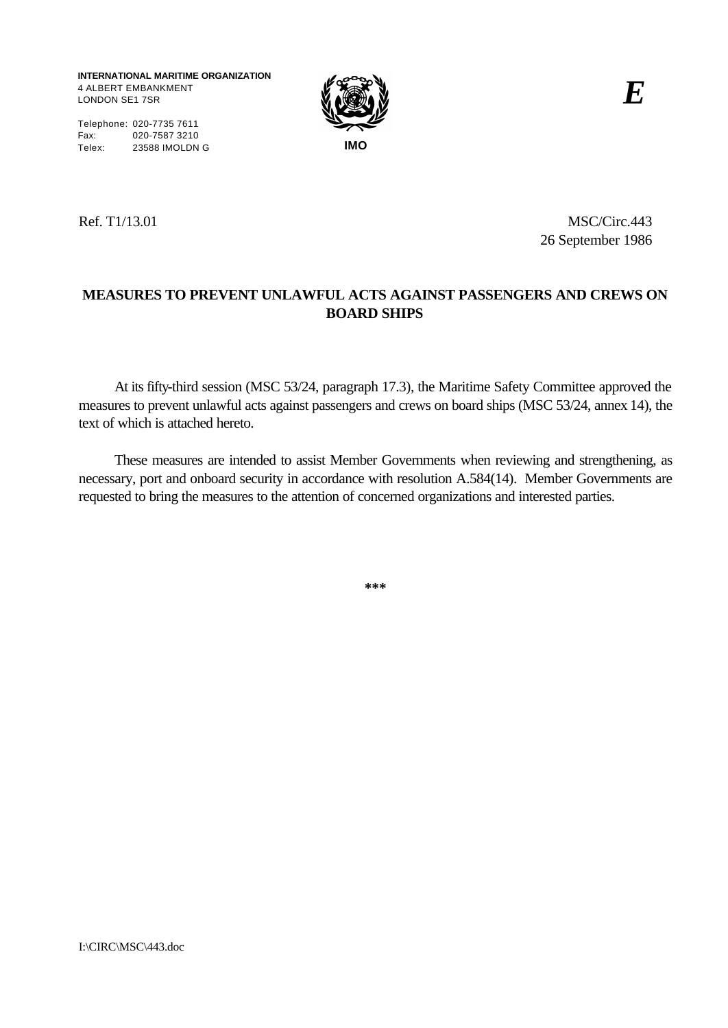**INTERNATIONAL MARITIME ORGANIZATION** 4 ALBERT EMBANKMENT LONDON SE1 7SR



Telephone: 020-7735 7611 Fax: 020-7587 3210 Telex: 23588 IMOLDN G **IMO**

Ref. T1/13.01 MSC/Circ.443 26 September 1986

# **MEASURES TO PREVENT UNLAWFUL ACTS AGAINST PASSENGERS AND CREWS ON BOARD SHIPS**

At its fifty-third session (MSC 53/24, paragraph 17.3), the Maritime Safety Committee approved the measures to prevent unlawful acts against passengers and crews on board ships (MSC 53/24, annex 14), the text of which is attached hereto.

These measures are intended to assist Member Governments when reviewing and strengthening, as necessary, port and onboard security in accordance with resolution A.584(14). Member Governments are requested to bring the measures to the attention of concerned organizations and interested parties.

**\*\*\***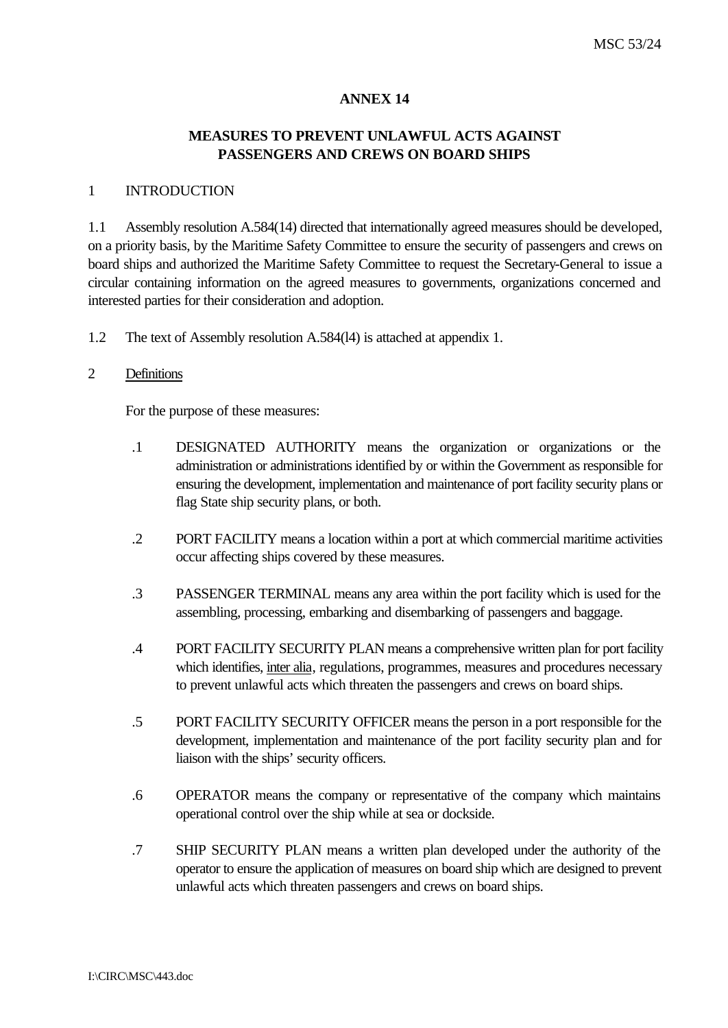#### **ANNEX 14**

### **MEASURES TO PREVENT UNLAWFUL ACTS AGAINST PASSENGERS AND CREWS ON BOARD SHIPS**

#### 1 INTRODUCTION

1.1 Assembly resolution A.584(14) directed that internationally agreed measures should be developed, on a priority basis, by the Maritime Safety Committee to ensure the security of passengers and crews on board ships and authorized the Maritime Safety Committee to request the Secretary-General to issue a circular containing information on the agreed measures to governments, organizations concerned and interested parties for their consideration and adoption.

1.2 The text of Assembly resolution A.584(l4) is attached at appendix 1.

#### 2 Definitions

For the purpose of these measures:

- .1 DESIGNATED AUTHORITY means the organization or organizations or the administration or administrations identified by or within the Government as responsible for ensuring the development, implementation and maintenance of port facility security plans or flag State ship security plans, or both.
- .2 PORT FACILITY means a location within a port at which commercial maritime activities occur affecting ships covered by these measures.
- .3 PASSENGER TERMINAL means any area within the port facility which is used for the assembling, processing, embarking and disembarking of passengers and baggage.
- .4 PORT FACILITY SECURITY PLAN means a comprehensive written plan for port facility which identifies, inter alia, regulations, programmes, measures and procedures necessary to prevent unlawful acts which threaten the passengers and crews on board ships.
- .5 PORT FACILITY SECURITY OFFICER means the person in a port responsible for the development, implementation and maintenance of the port facility security plan and for liaison with the ships' security officers.
- .6 OPERATOR means the company or representative of the company which maintains operational control over the ship while at sea or dockside.
- .7 SHIP SECURITY PLAN means a written plan developed under the authority of the operator to ensure the application of measures on board ship which are designed to prevent unlawful acts which threaten passengers and crews on board ships.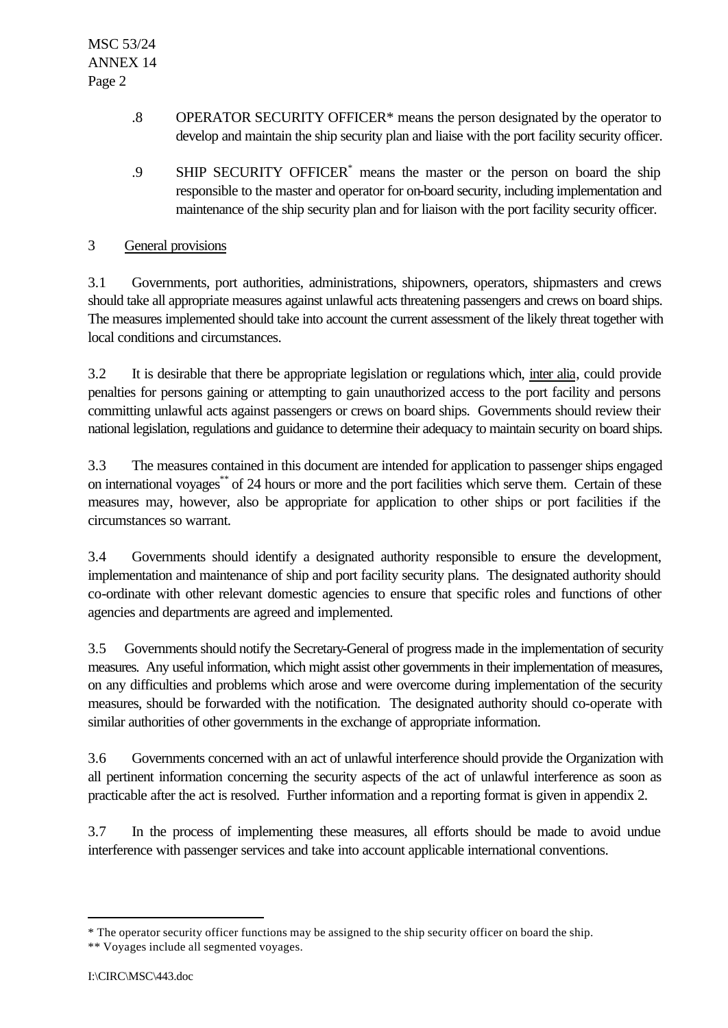- .8 OPERATOR SECURITY OFFICER\* means the person designated by the operator to develop and maintain the ship security plan and liaise with the port facility security officer.
- .9 SHIP SECURITY OFFICER<sup>\*</sup> means the master or the person on board the ship responsible to the master and operator for on-board security, including implementation and maintenance of the ship security plan and for liaison with the port facility security officer.

### 3 General provisions

3.1 Governments, port authorities, administrations, shipowners, operators, shipmasters and crews should take all appropriate measures against unlawful acts threatening passengers and crews on board ships. The measures implemented should take into account the current assessment of the likely threat together with local conditions and circumstances.

3.2 It is desirable that there be appropriate legislation or regulations which, inter alia, could provide penalties for persons gaining or attempting to gain unauthorized access to the port facility and persons committing unlawful acts against passengers or crews on board ships. Governments should review their national legislation, regulations and guidance to determine their adequacy to maintain security on board ships.

3.3 The measures contained in this document are intended for application to passenger ships engaged on international voyages\*\* of 24 hours or more and the port facilities which serve them. Certain of these measures may, however, also be appropriate for application to other ships or port facilities if the circumstances so warrant.

3.4 Governments should identify a designated authority responsible to ensure the development, implementation and maintenance of ship and port facility security plans. The designated authority should co-ordinate with other relevant domestic agencies to ensure that specific roles and functions of other agencies and departments are agreed and implemented.

3.5 Governments should notify the Secretary-General of progress made in the implementation of security measures. Any useful information, which might assist other governments in their implementation of measures, on any difficulties and problems which arose and were overcome during implementation of the security measures, should be forwarded with the notification. The designated authority should co-operate with similar authorities of other governments in the exchange of appropriate information.

3.6 Governments concerned with an act of unlawful interference should provide the Organization with all pertinent information concerning the security aspects of the act of unlawful interference as soon as practicable after the act is resolved. Further information and a reporting format is given in appendix 2.

3.7 In the process of implementing these measures, all efforts should be made to avoid undue interference with passenger services and take into account applicable international conventions.

l

<sup>\*</sup> The operator security officer functions may be assigned to the ship security officer on board the ship.

<sup>\*\*</sup> Voyages include all segmented voyages.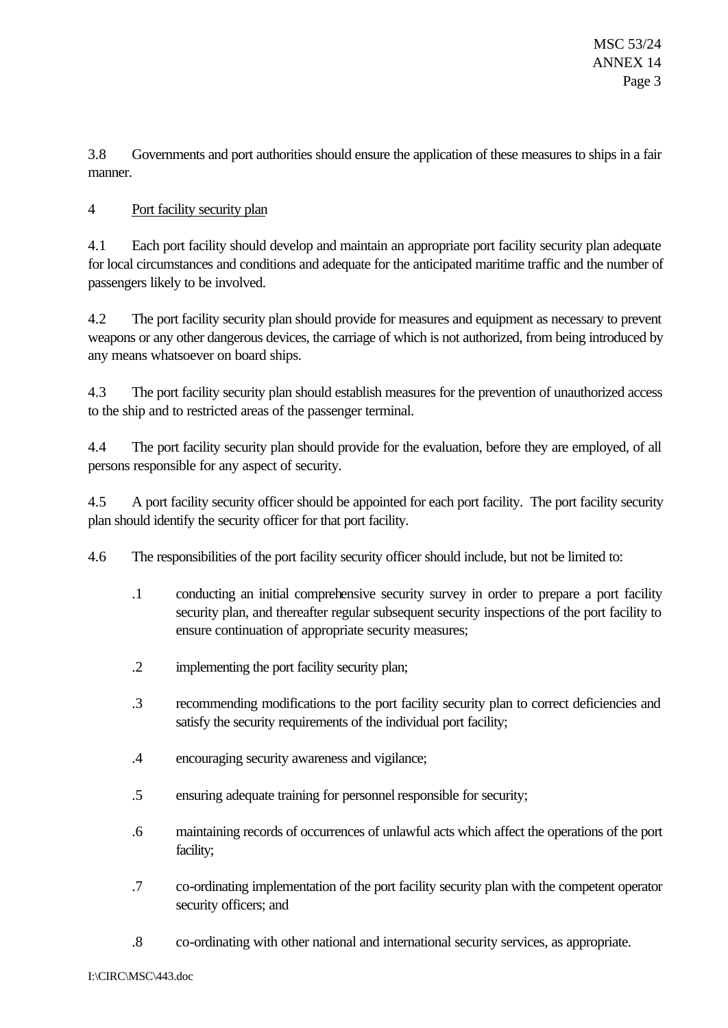3.8 Governments and port authorities should ensure the application of these measures to ships in a fair manner.

## 4 Port facility security plan

4.1 Each port facility should develop and maintain an appropriate port facility security plan adequate for local circumstances and conditions and adequate for the anticipated maritime traffic and the number of passengers likely to be involved.

4.2 The port facility security plan should provide for measures and equipment as necessary to prevent weapons or any other dangerous devices, the carriage of which is not authorized, from being introduced by any means whatsoever on board ships.

4.3 The port facility security plan should establish measures for the prevention of unauthorized access to the ship and to restricted areas of the passenger terminal.

4.4 The port facility security plan should provide for the evaluation, before they are employed, of all persons responsible for any aspect of security.

4.5 A port facility security officer should be appointed for each port facility. The port facility security plan should identify the security officer for that port facility.

4.6 The responsibilities of the port facility security officer should include, but not be limited to:

- .1 conducting an initial comprehensive security survey in order to prepare a port facility security plan, and thereafter regular subsequent security inspections of the port facility to ensure continuation of appropriate security measures;
- .2 implementing the port facility security plan;
- .3 recommending modifications to the port facility security plan to correct deficiencies and satisfy the security requirements of the individual port facility;
- .4 encouraging security awareness and vigilance;
- .5 ensuring adequate training for personnel responsible for security;
- .6 maintaining records of occurrences of unlawful acts which affect the operations of the port facility;
- .7 co-ordinating implementation of the port facility security plan with the competent operator security officers; and
- .8 co-ordinating with other national and international security services, as appropriate.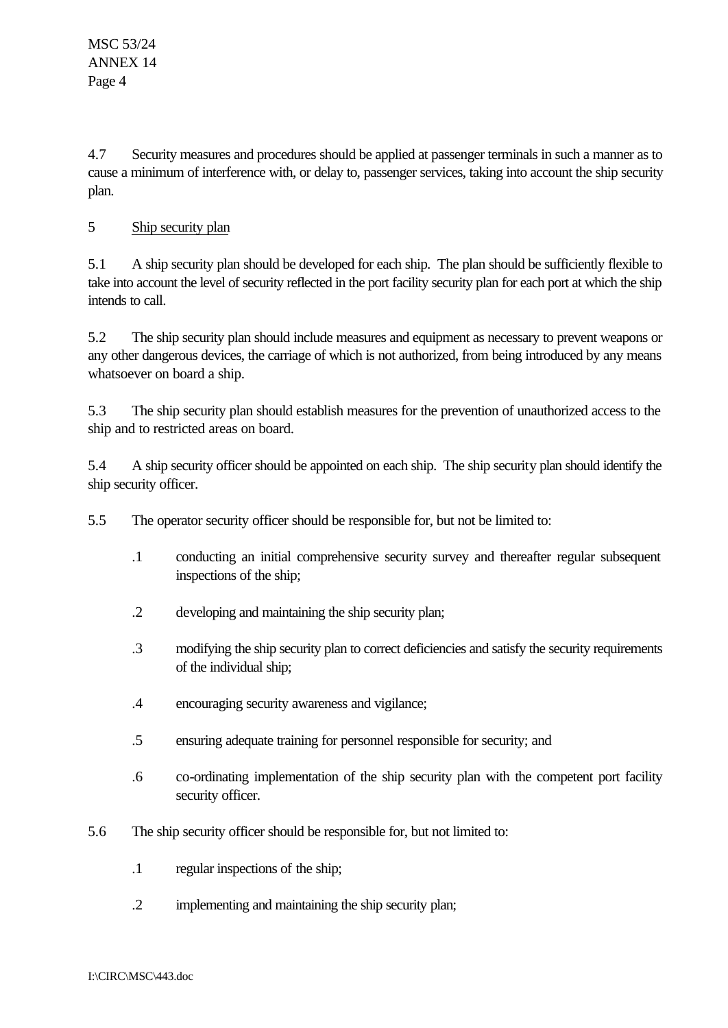4.7 Security measures and procedures should be applied at passenger terminals in such a manner as to cause a minimum of interference with, or delay to, passenger services, taking into account the ship security plan.

# 5 Ship security plan

5.1 A ship security plan should be developed for each ship. The plan should be sufficiently flexible to take into account the level of security reflected in the port facility security plan for each port at which the ship intends to call.

5.2 The ship security plan should include measures and equipment as necessary to prevent weapons or any other dangerous devices, the carriage of which is not authorized, from being introduced by any means whatsoever on board a ship.

5.3 The ship security plan should establish measures for the prevention of unauthorized access to the ship and to restricted areas on board.

5.4 A ship security officer should be appointed on each ship. The ship security plan should identify the ship security officer.

5.5 The operator security officer should be responsible for, but not be limited to:

- .1 conducting an initial comprehensive security survey and thereafter regular subsequent inspections of the ship;
- .2 developing and maintaining the ship security plan;
- .3 modifying the ship security plan to correct deficiencies and satisfy the security requirements of the individual ship;
- .4 encouraging security awareness and vigilance;
- .5 ensuring adequate training for personnel responsible for security; and
- .6 co-ordinating implementation of the ship security plan with the competent port facility security officer.
- 5.6 The ship security officer should be responsible for, but not limited to:
	- .1 regular inspections of the ship;
	- .2 implementing and maintaining the ship security plan;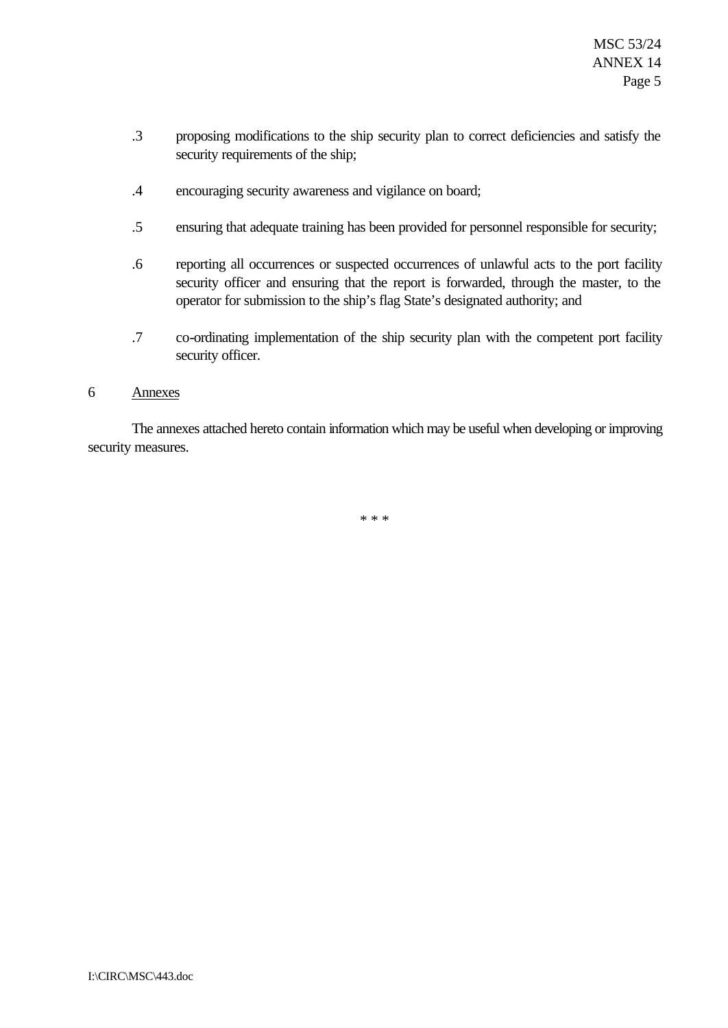- .3 proposing modifications to the ship security plan to correct deficiencies and satisfy the security requirements of the ship;
- .4 encouraging security awareness and vigilance on board;
- .5 ensuring that adequate training has been provided for personnel responsible for security;
- .6 reporting all occurrences or suspected occurrences of unlawful acts to the port facility security officer and ensuring that the report is forwarded, through the master, to the operator for submission to the ship's flag State's designated authority; and
- .7 co-ordinating implementation of the ship security plan with the competent port facility security officer.

#### 6 Annexes

The annexes attached hereto contain information which may be useful when developing or improving security measures.

\* \* \*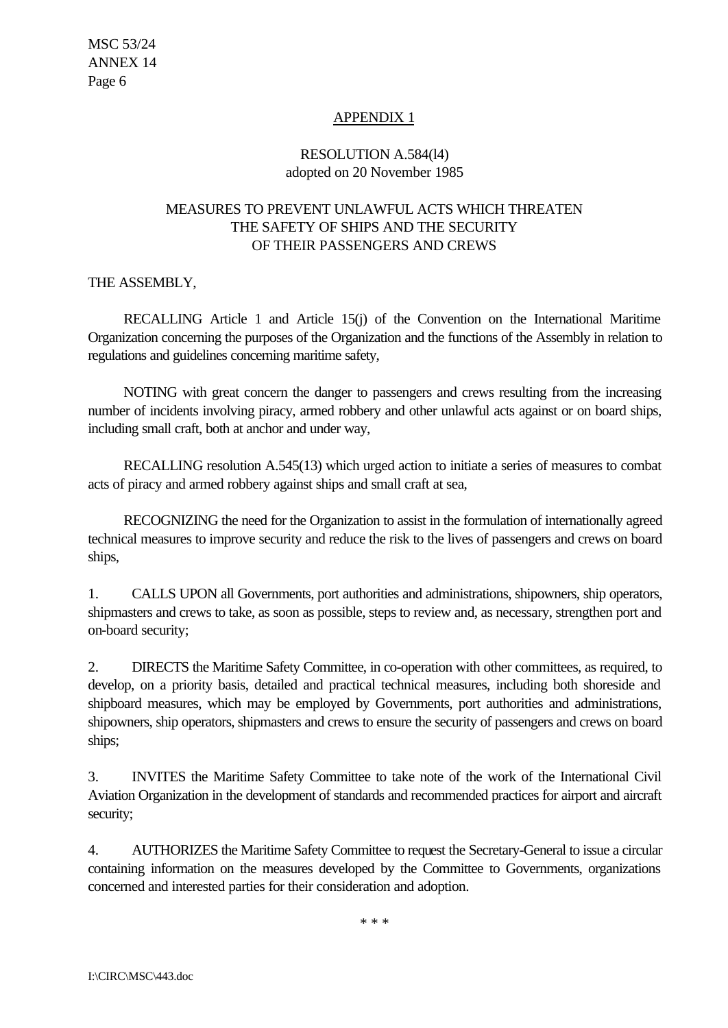# APPENDIX 1

# RESOLUTION A.584(l4) adopted on 20 November 1985

# MEASURES TO PREVENT UNLAWFUL ACTS WHICH THREATEN THE SAFETY OF SHIPS AND THE SECURITY OF THEIR PASSENGERS AND CREWS

## THE ASSEMBLY,

RECALLING Article 1 and Article 15(j) of the Convention on the International Maritime Organization concerning the purposes of the Organization and the functions of the Assembly in relation to regulations and guidelines concerning maritime safety,

NOTING with great concern the danger to passengers and crews resulting from the increasing number of incidents involving piracy, armed robbery and other unlawful acts against or on board ships, including small craft, both at anchor and under way,

RECALLING resolution A.545(13) which urged action to initiate a series of measures to combat acts of piracy and armed robbery against ships and small craft at sea,

RECOGNIZING the need for the Organization to assist in the formulation of internationally agreed technical measures to improve security and reduce the risk to the lives of passengers and crews on board ships,

1. CALLS UPON all Governments, port authorities and administrations, shipowners, ship operators, shipmasters and crews to take, as soon as possible, steps to review and, as necessary, strengthen port and on-board security;

2. DIRECTS the Maritime Safety Committee, in co-operation with other committees, as required, to develop, on a priority basis, detailed and practical technical measures, including both shoreside and shipboard measures, which may be employed by Governments, port authorities and administrations, shipowners, ship operators, shipmasters and crews to ensure the security of passengers and crews on board ships;

3. INVITES the Maritime Safety Committee to take note of the work of the International Civil Aviation Organization in the development of standards and recommended practices for airport and aircraft security;

4. AUTHORIZES the Maritime Safety Committee to request the Secretary-General to issue a circular containing information on the measures developed by the Committee to Governments, organizations concerned and interested parties for their consideration and adoption.

\* \* \*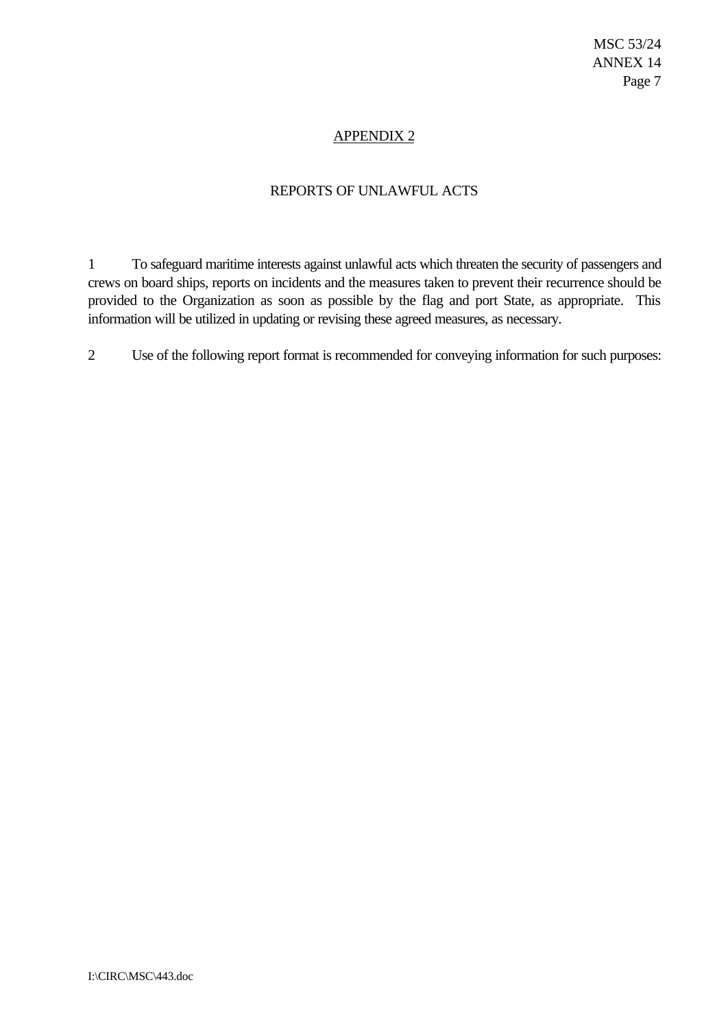### APPENDIX 2

#### REPORTS OF UNLAWFUL ACTS

1 To safeguard maritime interests against unlawful acts which threaten the security of passengers and crews on board ships, reports on incidents and the measures taken to prevent their recurrence should be provided to the Organization as soon as possible by the flag and port State, as appropriate. This information will be utilized in updating or revising these agreed measures, as necessary.

2 Use of the following report format is recommended for conveying information for such purposes: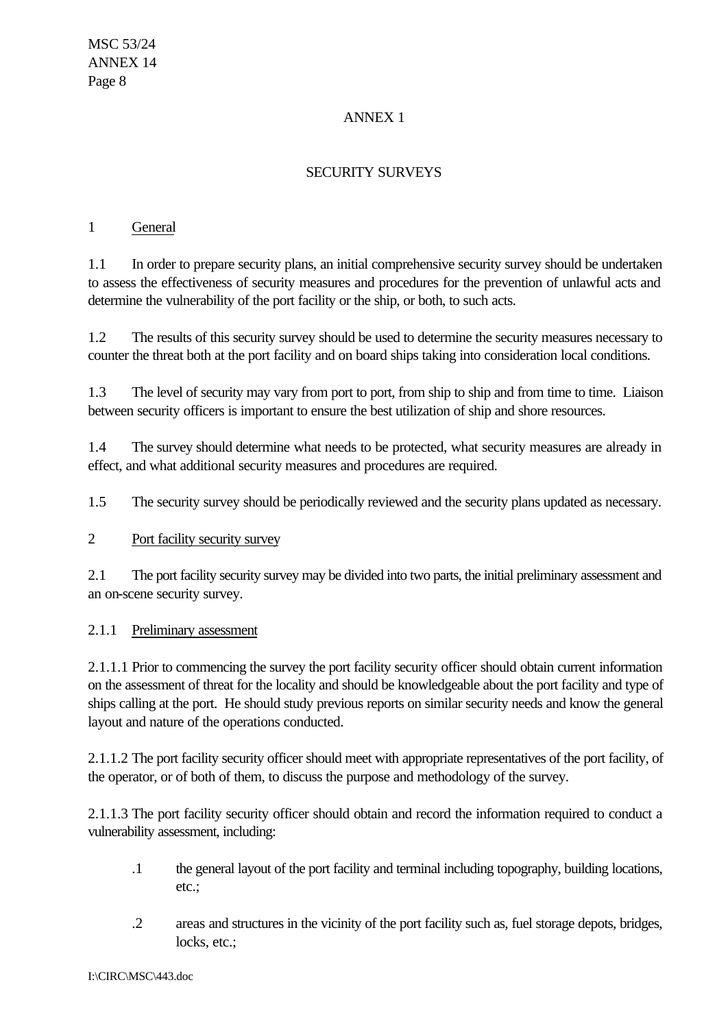# ANNEX 1

# SECURITY SURVEYS

### 1 General

1.1 In order to prepare security plans, an initial comprehensive security survey should be undertaken to assess the effectiveness of security measures and procedures for the prevention of unlawful acts and determine the vulnerability of the port facility or the ship, or both, to such acts.

1.2 The results of this security survey should be used to determine the security measures necessary to counter the threat both at the port facility and on board ships taking into consideration local conditions.

1.3 The level of security may vary from port to port, from ship to ship and from time to time. Liaison between security officers is important to ensure the best utilization of ship and shore resources.

1.4 The survey should determine what needs to be protected, what security measures are already in effect, and what additional security measures and procedures are required.

1.5 The security survey should be periodically reviewed and the security plans updated as necessary.

## 2 Port facility security survey

2.1 The port facility security survey may be divided into two parts, the initial preliminary assessment and an on-scene security survey.

## 2.1.1 Preliminary assessment

2.1.1.1 Prior to commencing the survey the port facility security officer should obtain current information on the assessment of threat for the locality and should be knowledgeable about the port facility and type of ships calling at the port. He should study previous reports on similar security needs and know the general layout and nature of the operations conducted.

2.1.1.2 The port facility security officer should meet with appropriate representatives of the port facility, of the operator, or of both of them, to discuss the purpose and methodology of the survey.

2.1.1.3 The port facility security officer should obtain and record the information required to conduct a vulnerability assessment, including:

- .1 the general layout of the port facility and terminal including topography, building locations, etc.;
- .2 areas and structures in the vicinity of the port facility such as, fuel storage depots, bridges, locks, etc.;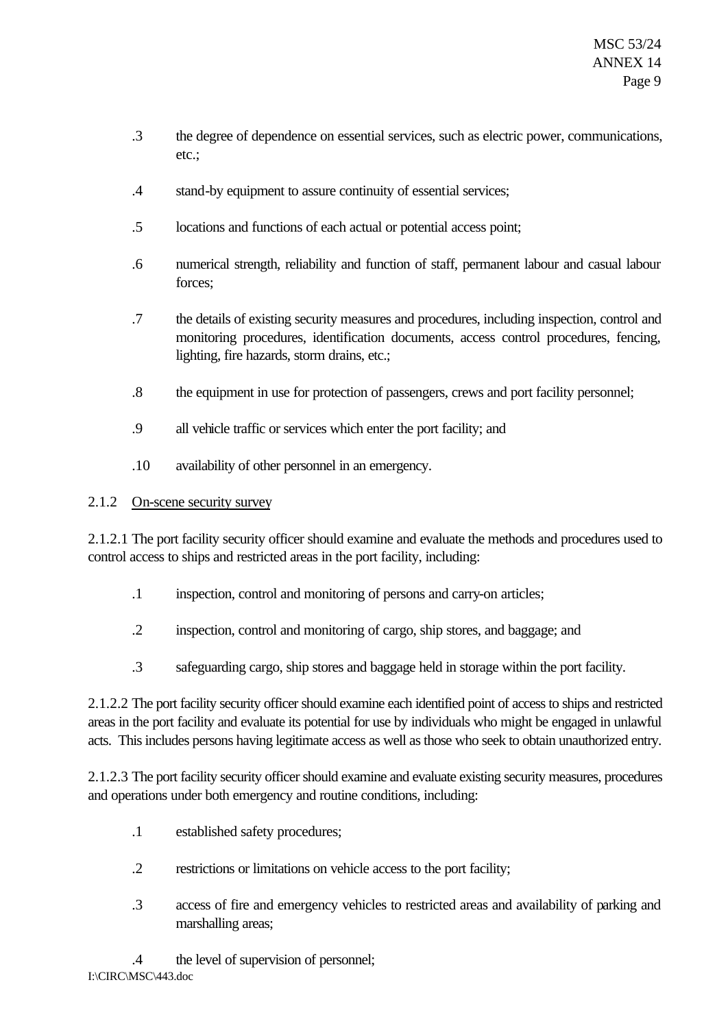- .3 the degree of dependence on essential services, such as electric power, communications, etc.;
- .4 stand-by equipment to assure continuity of essential services;
- .5 locations and functions of each actual or potential access point;
- .6 numerical strength, reliability and function of staff, permanent labour and casual labour forces;
- .7 the details of existing security measures and procedures, including inspection, control and monitoring procedures, identification documents, access control procedures, fencing, lighting, fire hazards, storm drains, etc.;
- .8 the equipment in use for protection of passengers, crews and port facility personnel;
- .9 all vehicle traffic or services which enter the port facility; and
- .10 availability of other personnel in an emergency.

# 2.1.2 On-scene security survey

2.1.2.1 The port facility security officer should examine and evaluate the methods and procedures used to control access to ships and restricted areas in the port facility, including:

- .1 inspection, control and monitoring of persons and carry-on articles;
- .2 inspection, control and monitoring of cargo, ship stores, and baggage; and
- .3 safeguarding cargo, ship stores and baggage held in storage within the port facility.

2.1.2.2 The port facility security officer should examine each identified point of access to ships and restricted areas in the port facility and evaluate its potential for use by individuals who might be engaged in unlawful acts. This includes persons having legitimate access as well as those who seek to obtain unauthorized entry.

2.1.2.3 The port facility security officer should examine and evaluate existing security measures, procedures and operations under both emergency and routine conditions, including:

- .1 established safety procedures;
- .2 restrictions or limitations on vehicle access to the port facility;
- .3 access of fire and emergency vehicles to restricted areas and availability of parking and marshalling areas;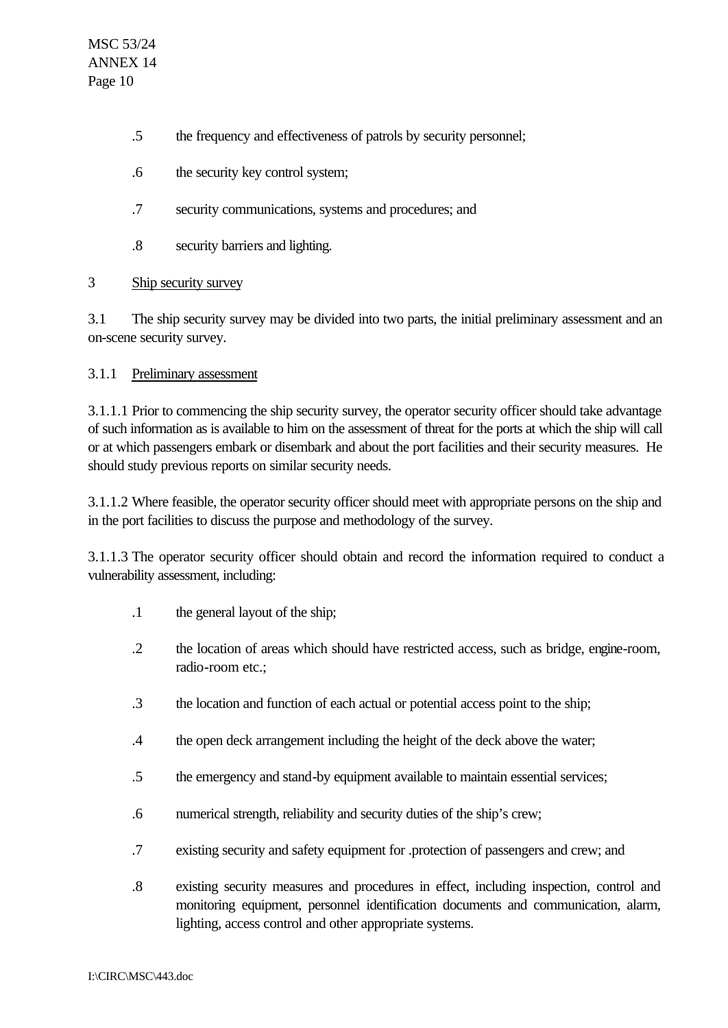- .5 the frequency and effectiveness of patrols by security personnel;
- .6 the security key control system;
- .7 security communications, systems and procedures; and
- .8 security barriers and lighting.

## 3 Ship security survey

3.1 The ship security survey may be divided into two parts, the initial preliminary assessment and an on-scene security survey.

### 3.1.1 Preliminary assessment

3.1.1.1 Prior to commencing the ship security survey, the operator security officer should take advantage of such information as is available to him on the assessment of threat for the ports at which the ship will call or at which passengers embark or disembark and about the port facilities and their security measures. He should study previous reports on similar security needs.

3.1.1.2 Where feasible, the operator security officer should meet with appropriate persons on the ship and in the port facilities to discuss the purpose and methodology of the survey.

3.1.1.3 The operator security officer should obtain and record the information required to conduct a vulnerability assessment, including:

- .1 the general layout of the ship;
- .2 the location of areas which should have restricted access, such as bridge, engine-room, radio-room etc.;
- .3 the location and function of each actual or potential access point to the ship;
- .4 the open deck arrangement including the height of the deck above the water;
- .5 the emergency and stand-by equipment available to maintain essential services;
- .6 numerical strength, reliability and security duties of the ship's crew;
- .7 existing security and safety equipment for .protection of passengers and crew; and
- .8 existing security measures and procedures in effect, including inspection, control and monitoring equipment, personnel identification documents and communication, alarm, lighting, access control and other appropriate systems.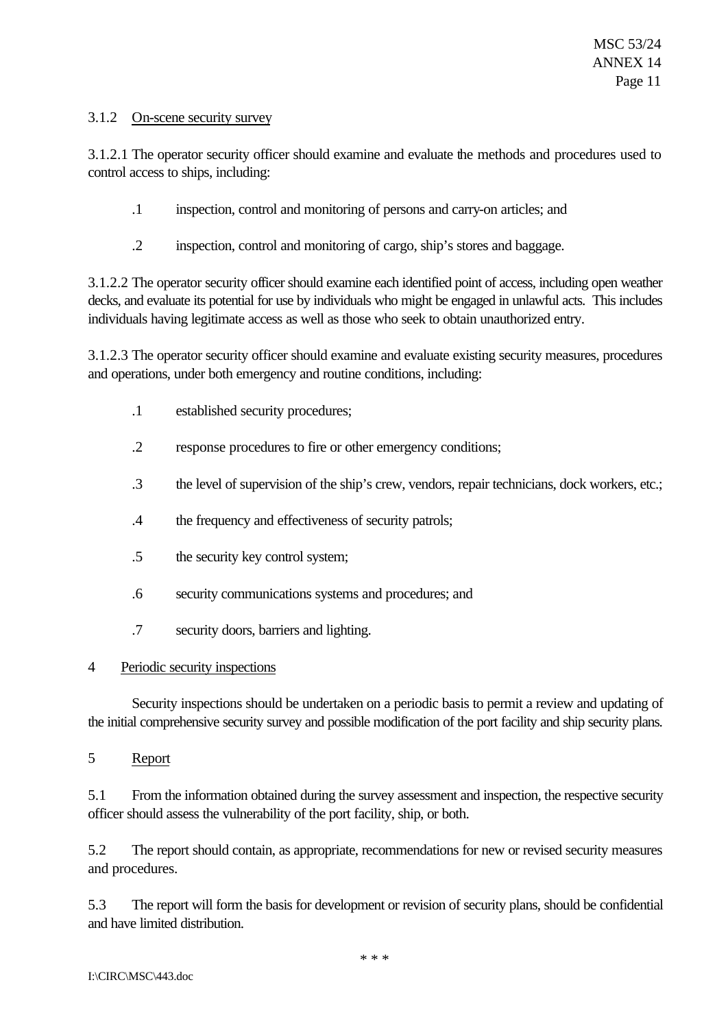### 3.1.2 On-scene security survey

3.1.2.1 The operator security officer should examine and evaluate the methods and procedures used to control access to ships, including:

- .1 inspection, control and monitoring of persons and carry-on articles; and
- .2 inspection, control and monitoring of cargo, ship's stores and baggage.

3.1.2.2 The operator security officer should examine each identified point of access, including open weather decks, and evaluate its potential for use by individuals who might be engaged in unlawful acts. This includes individuals having legitimate access as well as those who seek to obtain unauthorized entry.

3.1.2.3 The operator security officer should examine and evaluate existing security measures, procedures and operations, under both emergency and routine conditions, including:

- .1 established security procedures;
- .2 response procedures to fire or other emergency conditions;
- .3 the level of supervision of the ship's crew, vendors, repair technicians, dock workers, etc.;
- .4 the frequency and effectiveness of security patrols;
- .5 the security key control system;
- .6 security communications systems and procedures; and
- .7 security doors, barriers and lighting.

## 4 Periodic security inspections

Security inspections should be undertaken on a periodic basis to permit a review and updating of the initial comprehensive security survey and possible modification of the port facility and ship security plans.

5 Report

5.1 From the information obtained during the survey assessment and inspection, the respective security officer should assess the vulnerability of the port facility, ship, or both.

5.2 The report should contain, as appropriate, recommendations for new or revised security measures and procedures.

5.3 The report will form the basis for development or revision of security plans, should be confidential and have limited distribution.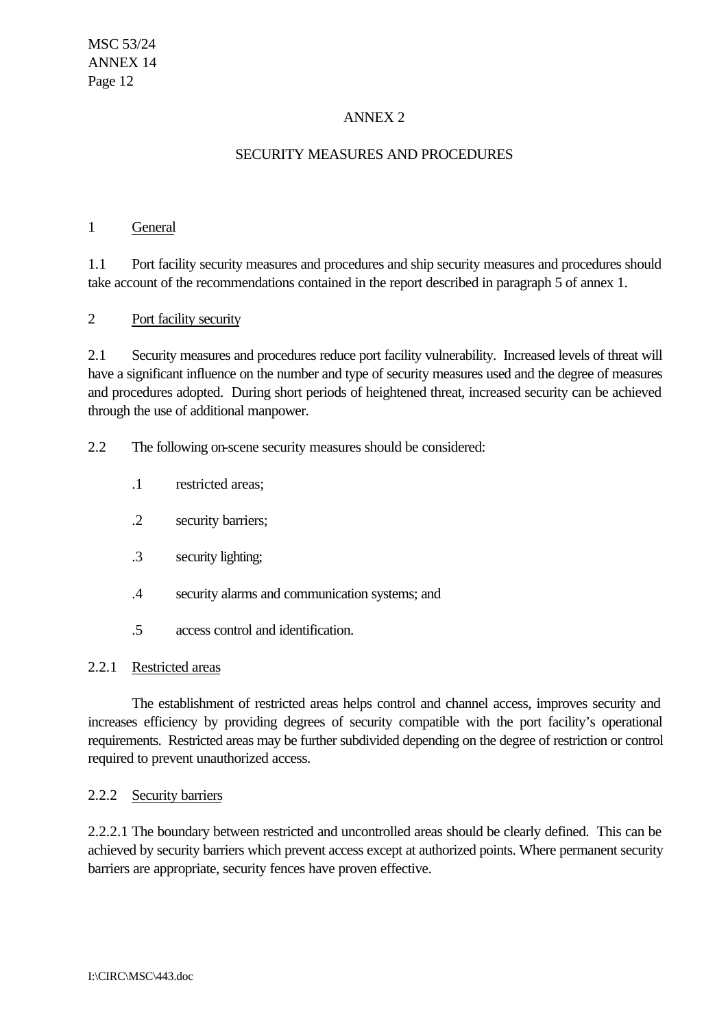# ANNEX 2

# SECURITY MEASURES AND PROCEDURES

#### 1 General

1.1 Port facility security measures and procedures and ship security measures and procedures should take account of the recommendations contained in the report described in paragraph 5 of annex 1.

### 2 Port facility security

2.1 Security measures and procedures reduce port facility vulnerability. Increased levels of threat will have a significant influence on the number and type of security measures used and the degree of measures and procedures adopted. During short periods of heightened threat, increased security can be achieved through the use of additional manpower.

2.2 The following on-scene security measures should be considered:

- .1 restricted areas;
- .2 security barriers;
- .3 security lighting;
- .4 security alarms and communication systems; and
- .5 access control and identification.

#### 2.2.1 Restricted areas

The establishment of restricted areas helps control and channel access, improves security and increases efficiency by providing degrees of security compatible with the port facility's operational requirements. Restricted areas may be further subdivided depending on the degree of restriction or control required to prevent unauthorized access.

#### 2.2.2 Security barriers

2.2.2.1 The boundary between restricted and uncontrolled areas should be clearly defined. This can be achieved by security barriers which prevent access except at authorized points. Where permanent security barriers are appropriate, security fences have proven effective.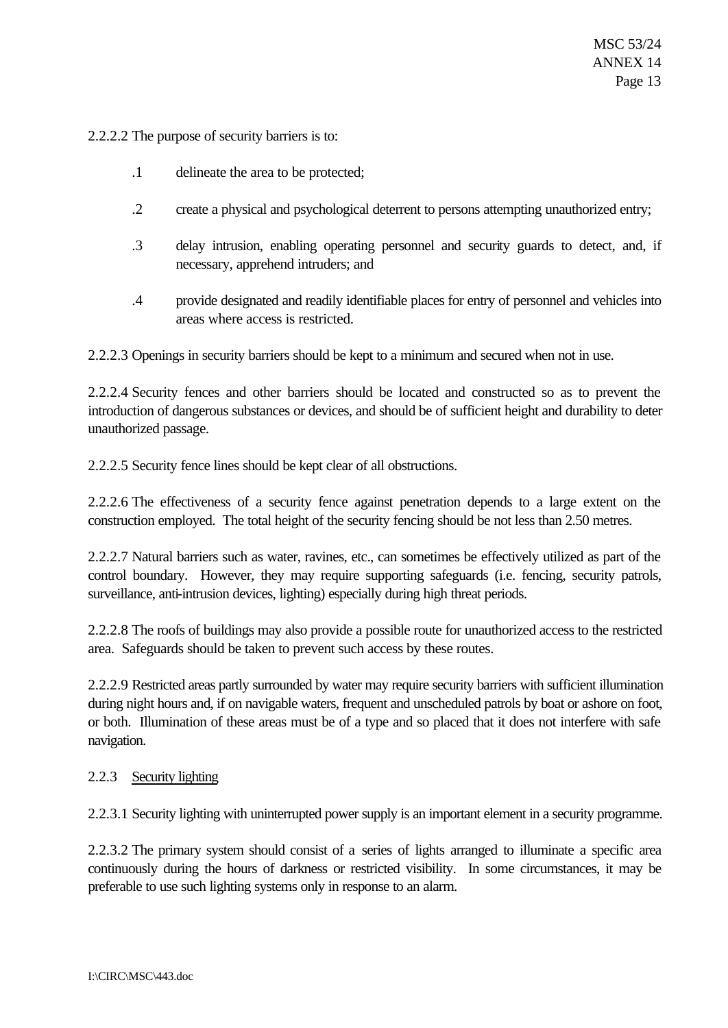2.2.2.2 The purpose of security barriers is to:

- .1 delineate the area to be protected;
- .2 create a physical and psychological deterrent to persons attempting unauthorized entry;
- .3 delay intrusion, enabling operating personnel and security guards to detect, and, if necessary, apprehend intruders; and
- .4 provide designated and readily identifiable places for entry of personnel and vehicles into areas where access is restricted.

2.2.2.3 Openings in security barriers should be kept to a minimum and secured when not in use.

2.2.2.4 Security fences and other barriers should be located and constructed so as to prevent the introduction of dangerous substances or devices, and should be of sufficient height and durability to deter unauthorized passage.

2.2.2.5 Security fence lines should be kept clear of all obstructions.

2.2.2.6 The effectiveness of a security fence against penetration depends to a large extent on the construction employed. The total height of the security fencing should be not less than 2.50 metres.

2.2.2.7 Natural barriers such as water, ravines, etc., can sometimes be effectively utilized as part of the control boundary. However, they may require supporting safeguards (i.e. fencing, security patrols, surveillance, anti-intrusion devices, lighting) especially during high threat periods.

2.2.2.8 The roofs of buildings may also provide a possible route for unauthorized access to the restricted area. Safeguards should be taken to prevent such access by these routes.

2.2.2.9 Restricted areas partly surrounded by water may require security barriers with sufficient illumination during night hours and, if on navigable waters, frequent and unscheduled patrols by boat or ashore on foot, or both. Illumination of these areas must be of a type and so placed that it does not interfere with safe navigation.

#### 2.2.3 Security lighting

2.2.3.1 Security lighting with uninterrupted power supply is an important element in a security programme.

2.2.3.2 The primary system should consist of a series of lights arranged to illuminate a specific area continuously during the hours of darkness or restricted visibility. In some circumstances, it may be preferable to use such lighting systems only in response to an alarm.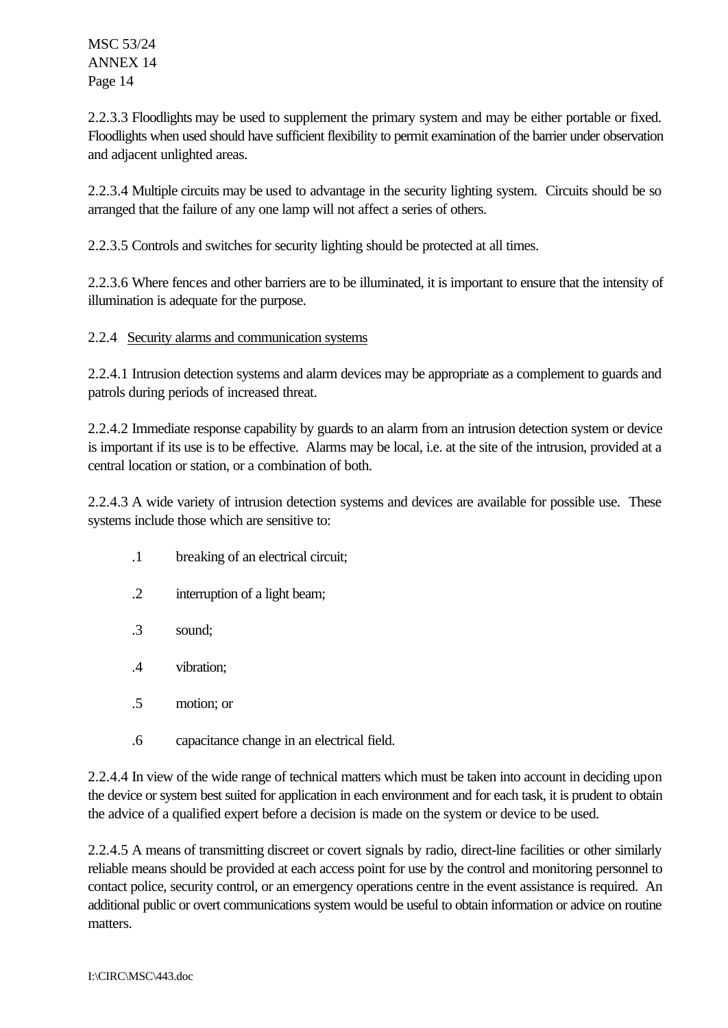2.2.3.3 Floodlights may be used to supplement the primary system and may be either portable or fixed. Floodlights when used should have sufficient flexibility to permit examination of the barrier under observation and adjacent unlighted areas.

2.2.3.4 Multiple circuits may be used to advantage in the security lighting system. Circuits should be so arranged that the failure of any one lamp will not affect a series of others.

2.2.3.5 Controls and switches for security lighting should be protected at all times.

2.2.3.6 Where fences and other barriers are to be illuminated, it is important to ensure that the intensity of illumination is adequate for the purpose.

## 2.2.4 Security alarms and communication systems

2.2.4.1 Intrusion detection systems and alarm devices may be appropriate as a complement to guards and patrols during periods of increased threat.

2.2.4.2 Immediate response capability by guards to an alarm from an intrusion detection system or device is important if its use is to be effective. Alarms may be local, i.e. at the site of the intrusion, provided at a central location or station, or a combination of both.

2.2.4.3 A wide variety of intrusion detection systems and devices are available for possible use. These systems include those which are sensitive to:

- .1 breaking of an electrical circuit;
- .2 interruption of a light beam;
- .3 sound;
- .4 vibration;
- .5 motion; or
- .6 capacitance change in an electrical field.

2.2.4.4 In view of the wide range of technical matters which must be taken into account in deciding upon the device or system best suited for application in each environment and for each task, it is prudent to obtain the advice of a qualified expert before a decision is made on the system or device to be used.

2.2.4.5 A means of transmitting discreet or covert signals by radio, direct-line facilities or other similarly reliable means should be provided at each access point for use by the control and monitoring personnel to contact police, security control, or an emergency operations centre in the event assistance is required. An additional public or overt communications system would be useful to obtain information or advice on routine matters.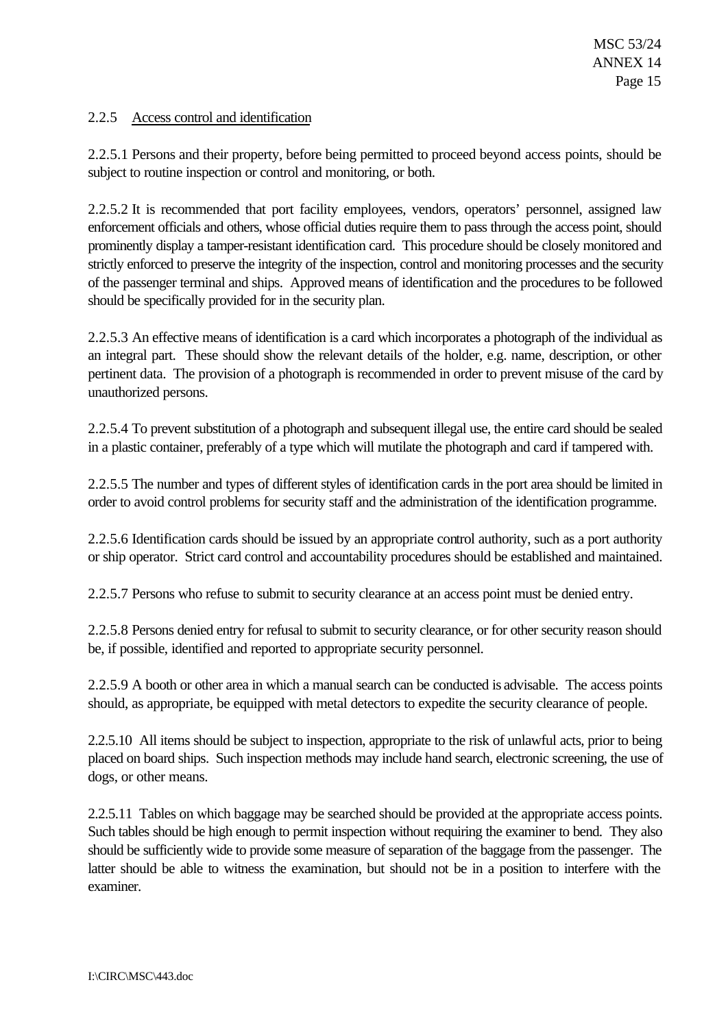## 2.2.5 Access control and identification

2.2.5.1 Persons and their property, before being permitted to proceed beyond access points, should be subject to routine inspection or control and monitoring, or both.

2.2.5.2 It is recommended that port facility employees, vendors, operators' personnel, assigned law enforcement officials and others, whose official duties require them to pass through the access point, should prominently display a tamper-resistant identification card. This procedure should be closely monitored and strictly enforced to preserve the integrity of the inspection, control and monitoring processes and the security of the passenger terminal and ships. Approved means of identification and the procedures to be followed should be specifically provided for in the security plan.

2.2.5.3 An effective means of identification is a card which incorporates a photograph of the individual as an integral part. These should show the relevant details of the holder, e.g. name, description, or other pertinent data. The provision of a photograph is recommended in order to prevent misuse of the card by unauthorized persons.

2.2.5.4 To prevent substitution of a photograph and subsequent illegal use, the entire card should be sealed in a plastic container, preferably of a type which will mutilate the photograph and card if tampered with.

2.2.5.5 The number and types of different styles of identification cards in the port area should be limited in order to avoid control problems for security staff and the administration of the identification programme.

2.2.5.6 Identification cards should be issued by an appropriate control authority, such as a port authority or ship operator. Strict card control and accountability procedures should be established and maintained.

2.2.5.7 Persons who refuse to submit to security clearance at an access point must be denied entry.

2.2.5.8 Persons denied entry for refusal to submit to security clearance, or for other security reason should be, if possible, identified and reported to appropriate security personnel.

2.2.5.9 A booth or other area in which a manual search can be conducted is advisable. The access points should, as appropriate, be equipped with metal detectors to expedite the security clearance of people.

2.2.5.10 All items should be subject to inspection, appropriate to the risk of unlawful acts, prior to being placed on board ships. Such inspection methods may include hand search, electronic screening, the use of dogs, or other means.

2.2.5.11 Tables on which baggage may be searched should be provided at the appropriate access points. Such tables should be high enough to permit inspection without requiring the examiner to bend. They also should be sufficiently wide to provide some measure of separation of the baggage from the passenger. The latter should be able to witness the examination, but should not be in a position to interfere with the examiner.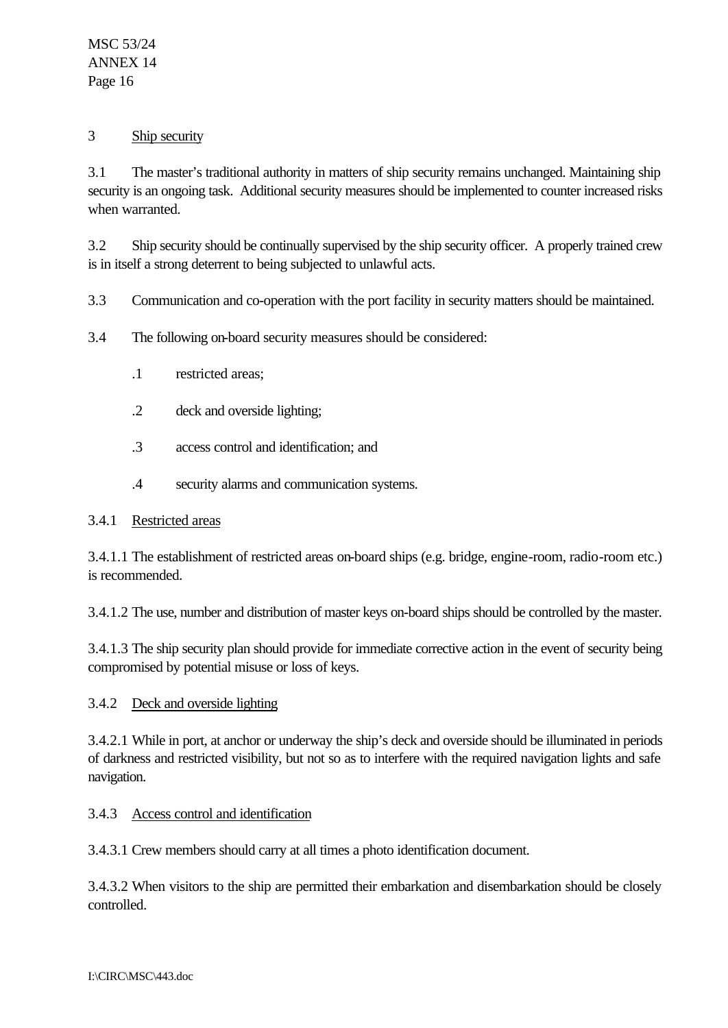### 3 Ship security

3.1 The master's traditional authority in matters of ship security remains unchanged. Maintaining ship security is an ongoing task. Additional security measures should be implemented to counter increased risks when warranted.

3.2 Ship security should be continually supervised by the ship security officer. A properly trained crew is in itself a strong deterrent to being subjected to unlawful acts.

3.3 Communication and co-operation with the port facility in security matters should be maintained.

- 3.4 The following on-board security measures should be considered:
	- .1 restricted areas;
	- .2 deck and overside lighting;
	- .3 access control and identification; and
	- .4 security alarms and communication systems.

## 3.4.1 Restricted areas

3.4.1.1 The establishment of restricted areas on-board ships (e.g. bridge, engine-room, radio-room etc.) is recommended.

3.4.1.2 The use, number and distribution of master keys on-board ships should be controlled by the master.

3.4.1.3 The ship security plan should provide for immediate corrective action in the event of security being compromised by potential misuse or loss of keys.

#### 3.4.2 Deck and overside lighting

3.4.2.1 While in port, at anchor or underway the ship's deck and overside should be illuminated in periods of darkness and restricted visibility, but not so as to interfere with the required navigation lights and safe navigation.

## 3.4.3 Access control and identification

3.4.3.1 Crew members should carry at all times a photo identification document.

3.4.3.2 When visitors to the ship are permitted their embarkation and disembarkation should be closely controlled.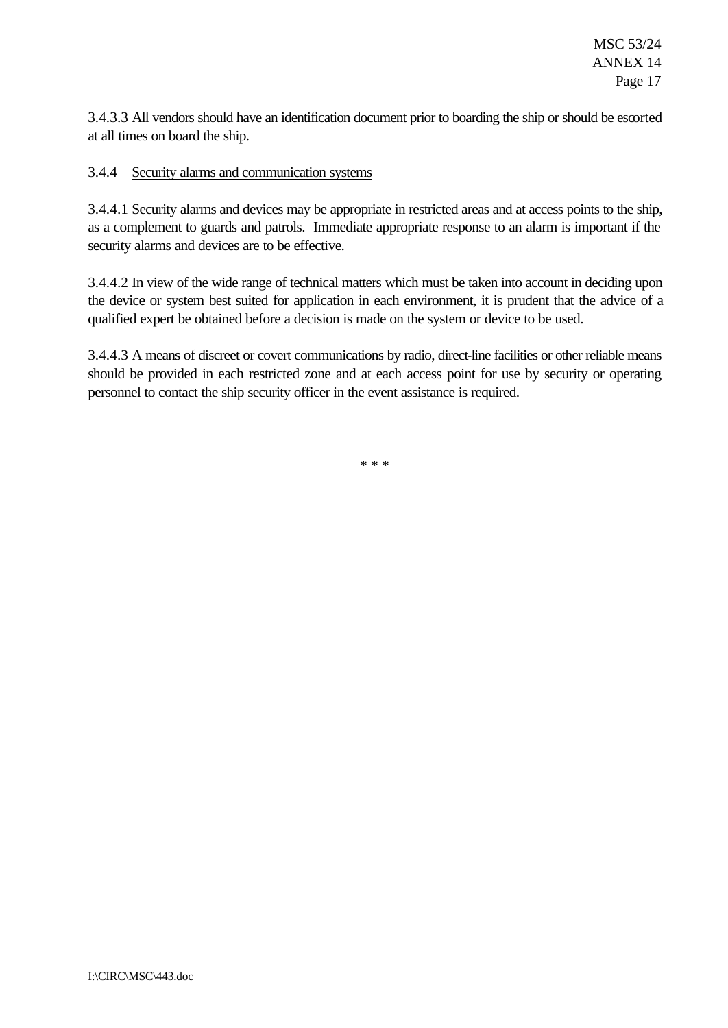3.4.3.3 All vendors should have an identification document prior to boarding the ship or should be escorted at all times on board the ship.

### 3.4.4 Security alarms and communication systems

3.4.4.1 Security alarms and devices may be appropriate in restricted areas and at access points to the ship, as a complement to guards and patrols. Immediate appropriate response to an alarm is important if the security alarms and devices are to be effective.

3.4.4.2 In view of the wide range of technical matters which must be taken into account in deciding upon the device or system best suited for application in each environment, it is prudent that the advice of a qualified expert be obtained before a decision is made on the system or device to be used.

3.4.4.3 A means of discreet or covert communications by radio, direct-line facilities or other reliable means should be provided in each restricted zone and at each access point for use by security or operating personnel to contact the ship security officer in the event assistance is required.

\* \* \*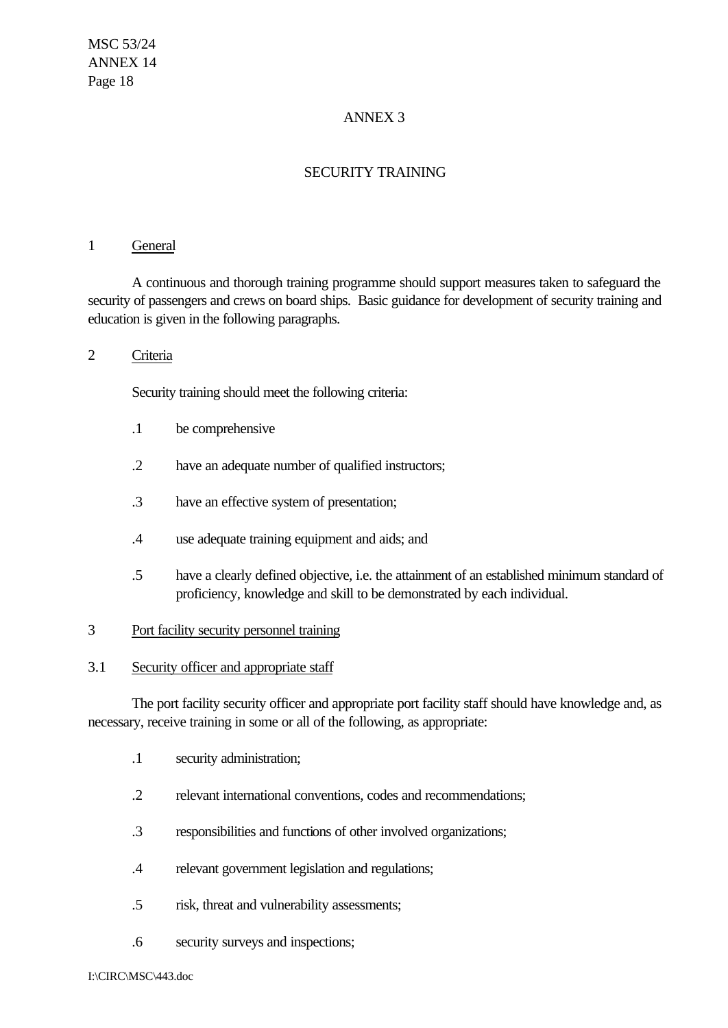# ANNEX 3

# SECURITY TRAINING

#### 1 General

A continuous and thorough training programme should support measures taken to safeguard the security of passengers and crews on board ships. Basic guidance for development of security training and education is given in the following paragraphs.

#### 2 Criteria

Security training should meet the following criteria:

- .1 be comprehensive
- .2 have an adequate number of qualified instructors;
- .3 have an effective system of presentation;
- .4 use adequate training equipment and aids; and
- .5 have a clearly defined objective, i.e. the attainment of an established minimum standard of proficiency, knowledge and skill to be demonstrated by each individual.

#### 3 Port facility security personnel training

#### 3.1 Security officer and appropriate staff

The port facility security officer and appropriate port facility staff should have knowledge and, as necessary, receive training in some or all of the following, as appropriate:

- .1 security administration;
- .2 relevant international conventions, codes and recommendations;
- .3 responsibilities and functions of other involved organizations;
- .4 relevant government legislation and regulations;
- .5 risk, threat and vulnerability assessments;
- .6 security surveys and inspections;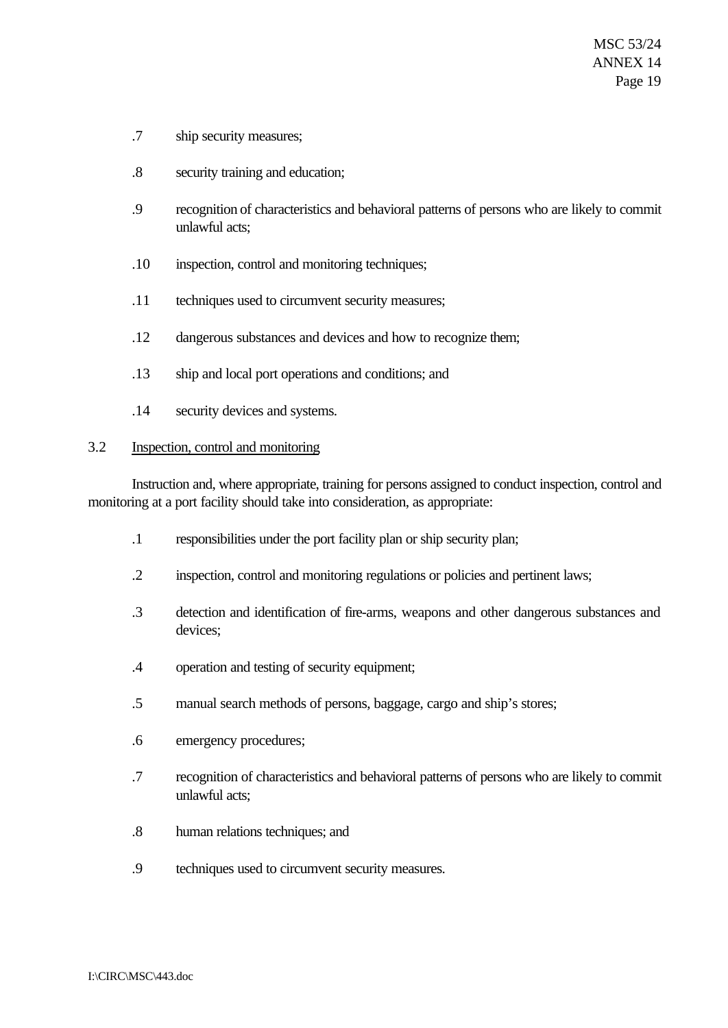- .7 ship security measures;
- .8 security training and education;
- .9 recognition of characteristics and behavioral patterns of persons who are likely to commit unlawful acts;
- .10 inspection, control and monitoring techniques;
- .11 techniques used to circumvent security measures;
- .12 dangerous substances and devices and how to recognize them;
- .13 ship and local port operations and conditions; and
- .14 security devices and systems.

#### 3.2 Inspection, control and monitoring

Instruction and, where appropriate, training for persons assigned to conduct inspection, control and monitoring at a port facility should take into consideration, as appropriate:

- .1 responsibilities under the port facility plan or ship security plan;
- .2 inspection, control and monitoring regulations or policies and pertinent laws;
- .3 detection and identification of fire-arms, weapons and other dangerous substances and devices;
- .4 operation and testing of security equipment;
- .5 manual search methods of persons, baggage, cargo and ship's stores;
- .6 emergency procedures;
- .7 recognition of characteristics and behavioral patterns of persons who are likely to commit unlawful acts;
- .8 human relations techniques; and
- .9 techniques used to circumvent security measures.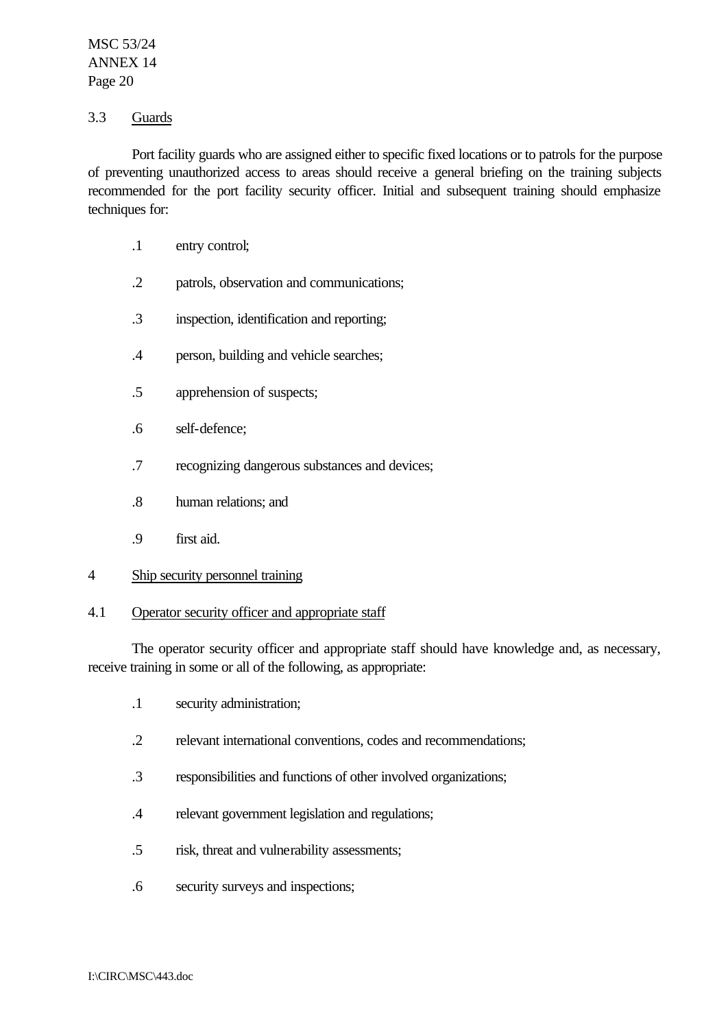### 3.3 Guards

Port facility guards who are assigned either to specific fixed locations or to patrols for the purpose of preventing unauthorized access to areas should receive a general briefing on the training subjects recommended for the port facility security officer. Initial and subsequent training should emphasize techniques for:

- .1 entry control;
- .2 patrols, observation and communications;
- .3 inspection, identification and reporting;
- .4 person, building and vehicle searches;
- .5 apprehension of suspects;
- .6 self-defence;
- .7 recognizing dangerous substances and devices;
- .8 human relations; and
- .9 first aid.

#### 4 Ship security personnel training

#### 4.1 Operator security officer and appropriate staff

The operator security officer and appropriate staff should have knowledge and, as necessary, receive training in some or all of the following, as appropriate:

- .1 security administration;
- .2 relevant international conventions, codes and recommendations;
- .3 responsibilities and functions of other involved organizations;
- .4 relevant government legislation and regulations;
- .5 risk, threat and vulnerability assessments;
- .6 security surveys and inspections;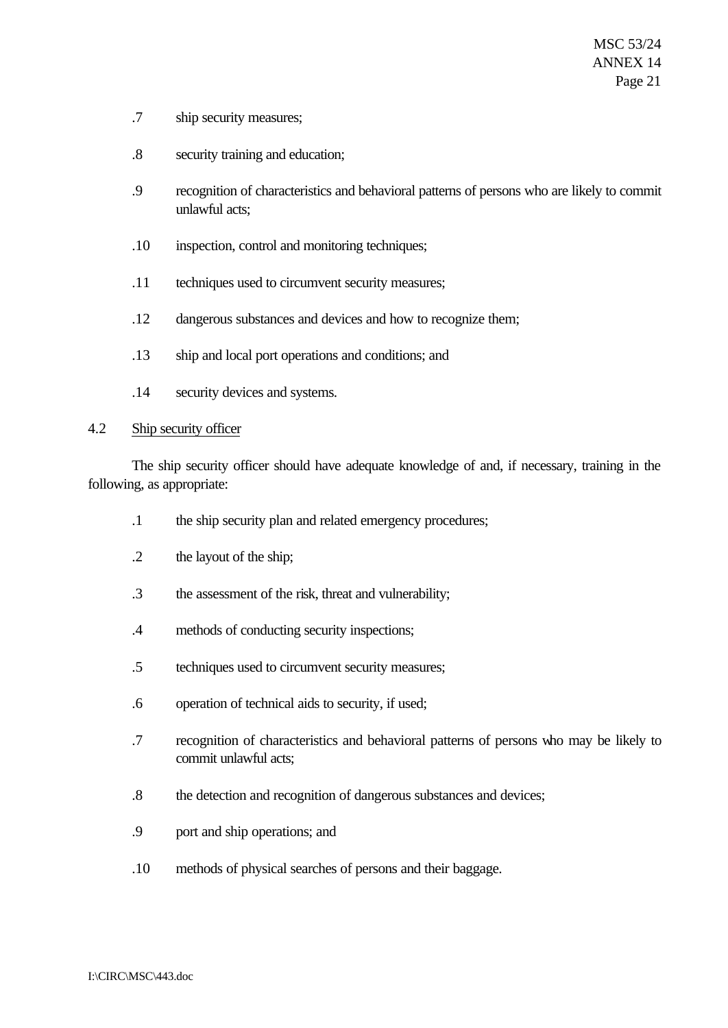- .7 ship security measures;
- .8 security training and education;
- .9 recognition of characteristics and behavioral patterns of persons who are likely to commit unlawful acts;
- .10 inspection, control and monitoring techniques;
- .11 techniques used to circumvent security measures;
- .12 dangerous substances and devices and how to recognize them;
- .13 ship and local port operations and conditions; and
- .14 security devices and systems.

#### 4.2 Ship security officer

The ship security officer should have adequate knowledge of and, if necessary, training in the following, as appropriate:

- .1 the ship security plan and related emergency procedures;
- .2 the layout of the ship;
- .3 the assessment of the risk, threat and vulnerability;
- .4 methods of conducting security inspections;
- .5 techniques used to circumvent security measures;
- .6 operation of technical aids to security, if used;
- .7 recognition of characteristics and behavioral patterns of persons who may be likely to commit unlawful acts;
- .8 the detection and recognition of dangerous substances and devices;
- .9 port and ship operations; and
- .10 methods of physical searches of persons and their baggage.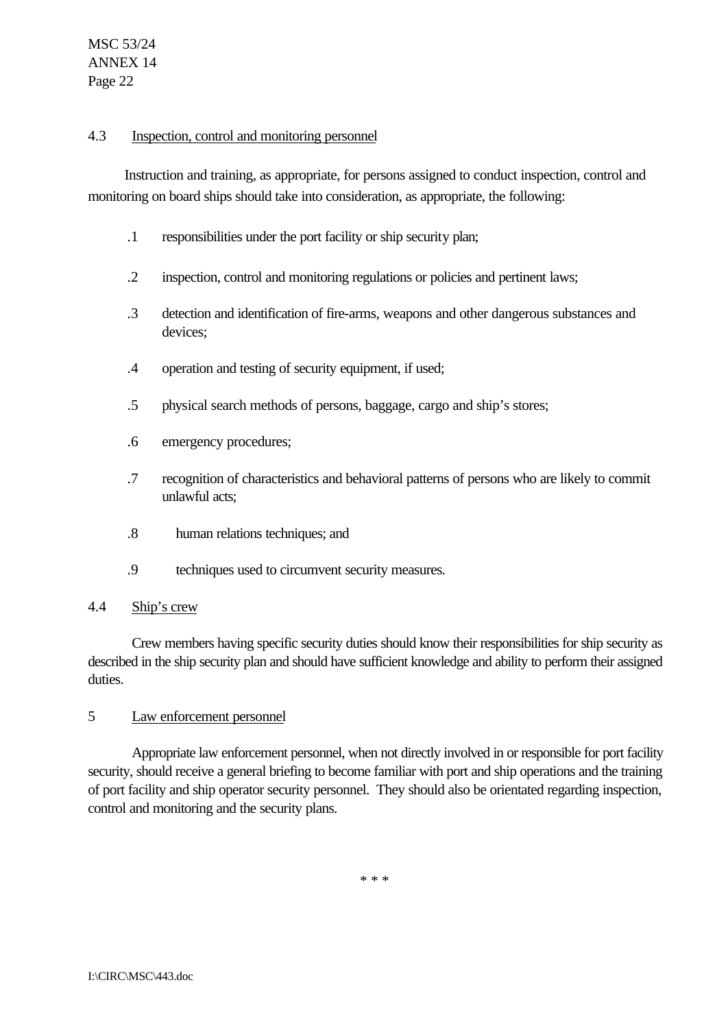### 4.3 Inspection, control and monitoring personnel

Instruction and training, as appropriate, for persons assigned to conduct inspection, control and monitoring on board ships should take into consideration, as appropriate, the following:

- .1 responsibilities under the port facility or ship security plan;
- .2 inspection, control and monitoring regulations or policies and pertinent laws;
- .3 detection and identification of fire-arms, weapons and other dangerous substances and devices;
- .4 operation and testing of security equipment, if used;
- .5 physical search methods of persons, baggage, cargo and ship's stores;
- .6 emergency procedures;
- .7 recognition of characteristics and behavioral patterns of persons who are likely to commit unlawful acts;
- .8 human relations techniques; and
- .9 techniques used to circumvent security measures.

#### 4.4 Ship's crew

Crew members having specific security duties should know their responsibilities for ship security as described in the ship security plan and should have sufficient knowledge and ability to perform their assigned duties.

#### 5 Law enforcement personnel

Appropriate law enforcement personnel, when not directly involved in or responsible for port facility security, should receive a general briefing to become familiar with port and ship operations and the training of port facility and ship operator security personnel. They should also be orientated regarding inspection, control and monitoring and the security plans.

\* \* \*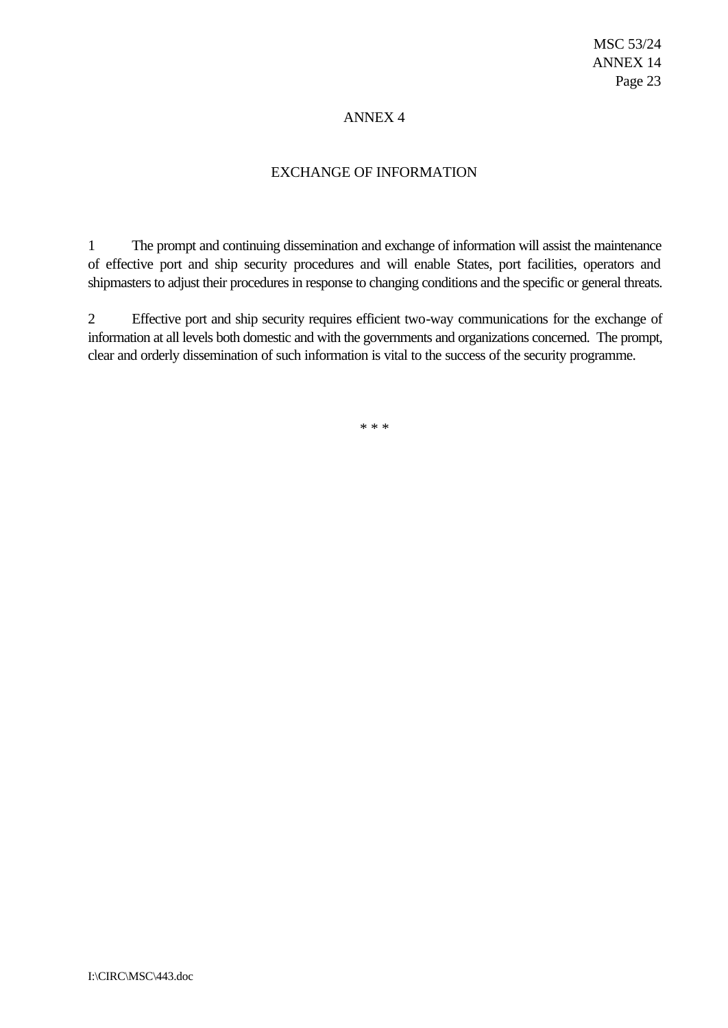## ANNEX 4

## EXCHANGE OF INFORMATION

1 The prompt and continuing dissemination and exchange of information will assist the maintenance of effective port and ship security procedures and will enable States, port facilities, operators and shipmasters to adjust their procedures in response to changing conditions and the specific or general threats.

2 Effective port and ship security requires efficient two-way communications for the exchange of information at all levels both domestic and with the governments and organizations concerned. The prompt, clear and orderly dissemination of such information is vital to the success of the security programme.

\* \* \*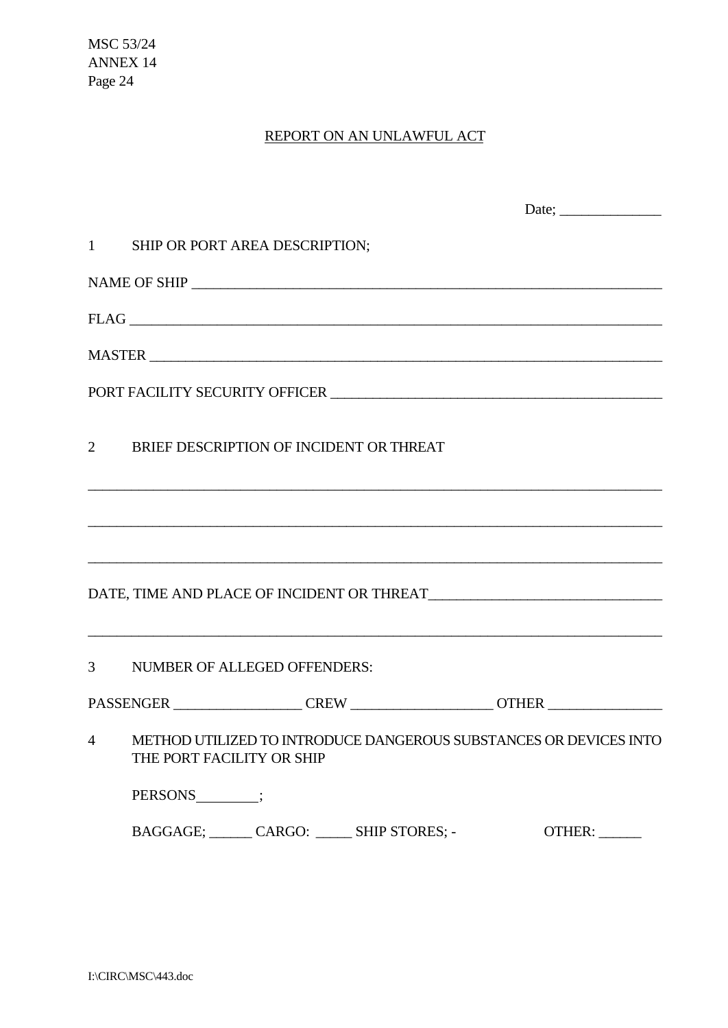MSC 53/24 ANNEX 14 Page 24

# REPORT ON AN UNLAWFUL ACT

| 1 SHIP OR PORT AREA DESCRIPTION;                                                                                                                       |        |
|--------------------------------------------------------------------------------------------------------------------------------------------------------|--------|
|                                                                                                                                                        |        |
| FLAG                                                                                                                                                   |        |
|                                                                                                                                                        |        |
|                                                                                                                                                        |        |
| 2 BRIEF DESCRIPTION OF INCIDENT OR THREAT                                                                                                              |        |
| ,我们也不能在这里的时候,我们也不能在这里的时候,我们也不能会在这里,我们也不能会在这里的时候,我们也不能会在这里的时候,我们也不能会在这里的时候,我们也不能会                                                                       |        |
|                                                                                                                                                        |        |
|                                                                                                                                                        |        |
| <u> 2000 - 2000 - 2000 - 2000 - 2000 - 2000 - 2000 - 2000 - 2000 - 2000 - 2000 - 2000 - 2000 - 2000 - 2000 - 200</u><br>3 NUMBER OF ALLEGED OFFENDERS: |        |
| PASSENGER ________________CREW ____________________OTHER _______________________                                                                       |        |
| 4 METHOD UTILIZED TO INTRODUCE DANGEROUS SUBSTANCES OR DEVICES INTO<br>THE PORT FACILITY OR SHIP                                                       |        |
| PERSONS<br><b>EXECUTE:</b>                                                                                                                             |        |
| BAGGAGE; CARGO: _______ SHIP STORES; -                                                                                                                 | OTHER: |